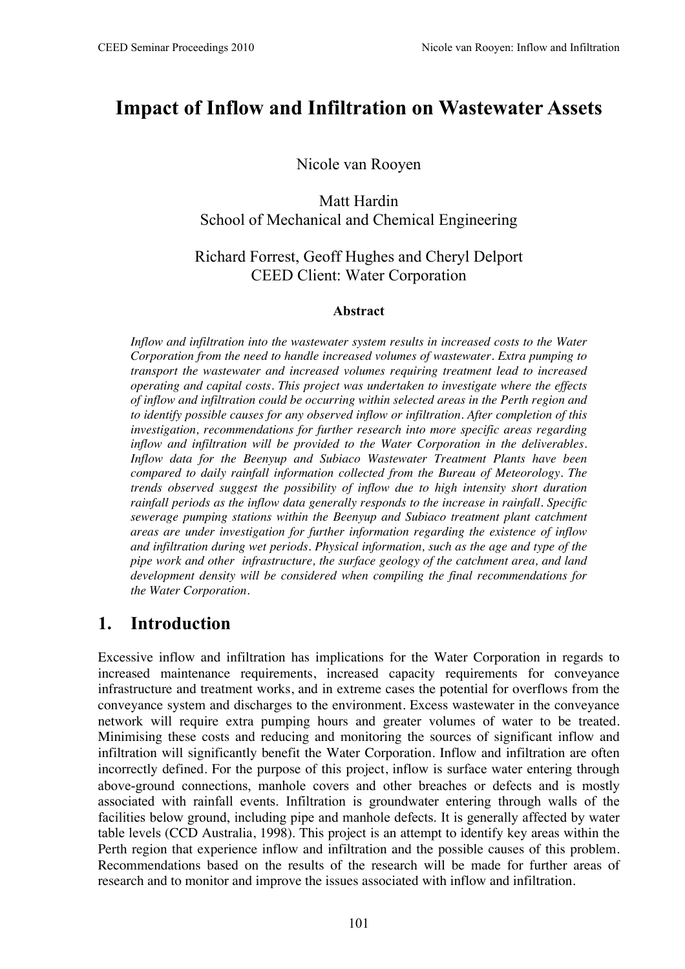# **Impact of Inflow and Infiltration on Wastewater Assets**

Nicole van Rooyen

Matt Hardin School of Mechanical and Chemical Engineering

#### Richard Forrest, Geoff Hughes and Cheryl Delport CEED Client: Water Corporation

#### **Abstract**

*Inflow and infiltration into the wastewater system results in increased costs to the Water Corporation from the need to handle increased volumes of wastewater. Extra pumping to transport the wastewater and increased volumes requiring treatment lead to increased operating and capital costs. This project was undertaken to investigate where the effects of inflow and infiltration could be occurring within selected areas in the Perth region and to identify possible causes for any observed inflow or infiltration. After completion of this investigation, recommendations for further research into more specific areas regarding inflow and infiltration will be provided to the Water Corporation in the deliverables. Inflow data for the Beenyup and Subiaco Wastewater Treatment Plants have been compared to daily rainfall information collected from the Bureau of Meteorology. The trends observed suggest the possibility of inflow due to high intensity short duration rainfall periods as the inflow data generally responds to the increase in rainfall. Specific sewerage pumping stations within the Beenyup and Subiaco treatment plant catchment areas are under investigation for further information regarding the existence of inflow and infiltration during wet periods. Physical information, such as the age and type of the pipe work and other infrastructure, the surface geology of the catchment area, and land development density will be considered when compiling the final recommendations for the Water Corporation.* 

## **1. Introduction**

Excessive inflow and infiltration has implications for the Water Corporation in regards to increased maintenance requirements, increased capacity requirements for conveyance infrastructure and treatment works, and in extreme cases the potential for overflows from the conveyance system and discharges to the environment. Excess wastewater in the conveyance network will require extra pumping hours and greater volumes of water to be treated. Minimising these costs and reducing and monitoring the sources of significant inflow and infiltration will significantly benefit the Water Corporation. Inflow and infiltration are often incorrectly defined. For the purpose of this project, inflow is surface water entering through above-ground connections, manhole covers and other breaches or defects and is mostly associated with rainfall events. Infiltration is groundwater entering through walls of the facilities below ground, including pipe and manhole defects. It is generally affected by water table levels (CCD Australia, 1998). This project is an attempt to identify key areas within the Perth region that experience inflow and infiltration and the possible causes of this problem. Recommendations based on the results of the research will be made for further areas of research and to monitor and improve the issues associated with inflow and infiltration.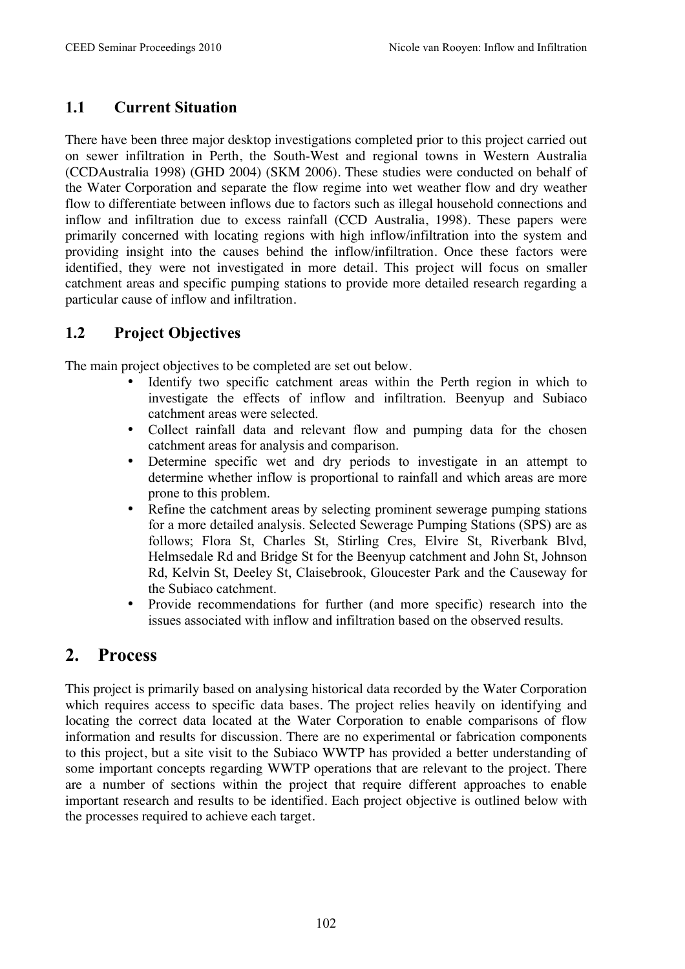#### **1.1 Current Situation**

There have been three major desktop investigations completed prior to this project carried out on sewer infiltration in Perth, the South-West and regional towns in Western Australia (CCDAustralia 1998) (GHD 2004) (SKM 2006). These studies were conducted on behalf of the Water Corporation and separate the flow regime into wet weather flow and dry weather flow to differentiate between inflows due to factors such as illegal household connections and inflow and infiltration due to excess rainfall (CCD Australia, 1998). These papers were primarily concerned with locating regions with high inflow/infiltration into the system and providing insight into the causes behind the inflow/infiltration. Once these factors were identified, they were not investigated in more detail. This project will focus on smaller catchment areas and specific pumping stations to provide more detailed research regarding a particular cause of inflow and infiltration.

#### **1.2 Project Objectives**

The main project objectives to be completed are set out below.

- Identify two specific catchment areas within the Perth region in which to investigate the effects of inflow and infiltration. Beenyup and Subiaco catchment areas were selected.
- Collect rainfall data and relevant flow and pumping data for the chosen catchment areas for analysis and comparison.
- Determine specific wet and dry periods to investigate in an attempt to determine whether inflow is proportional to rainfall and which areas are more prone to this problem.
- Refine the catchment areas by selecting prominent sewerage pumping stations for a more detailed analysis. Selected Sewerage Pumping Stations (SPS) are as follows; Flora St, Charles St, Stirling Cres, Elvire St, Riverbank Blvd, Helmsedale Rd and Bridge St for the Beenyup catchment and John St, Johnson Rd, Kelvin St, Deeley St, Claisebrook, Gloucester Park and the Causeway for the Subiaco catchment.
- Provide recommendations for further (and more specific) research into the issues associated with inflow and infiltration based on the observed results.

## **2. Process**

This project is primarily based on analysing historical data recorded by the Water Corporation which requires access to specific data bases. The project relies heavily on identifying and locating the correct data located at the Water Corporation to enable comparisons of flow information and results for discussion. There are no experimental or fabrication components to this project, but a site visit to the Subiaco WWTP has provided a better understanding of some important concepts regarding WWTP operations that are relevant to the project. There are a number of sections within the project that require different approaches to enable important research and results to be identified. Each project objective is outlined below with the processes required to achieve each target.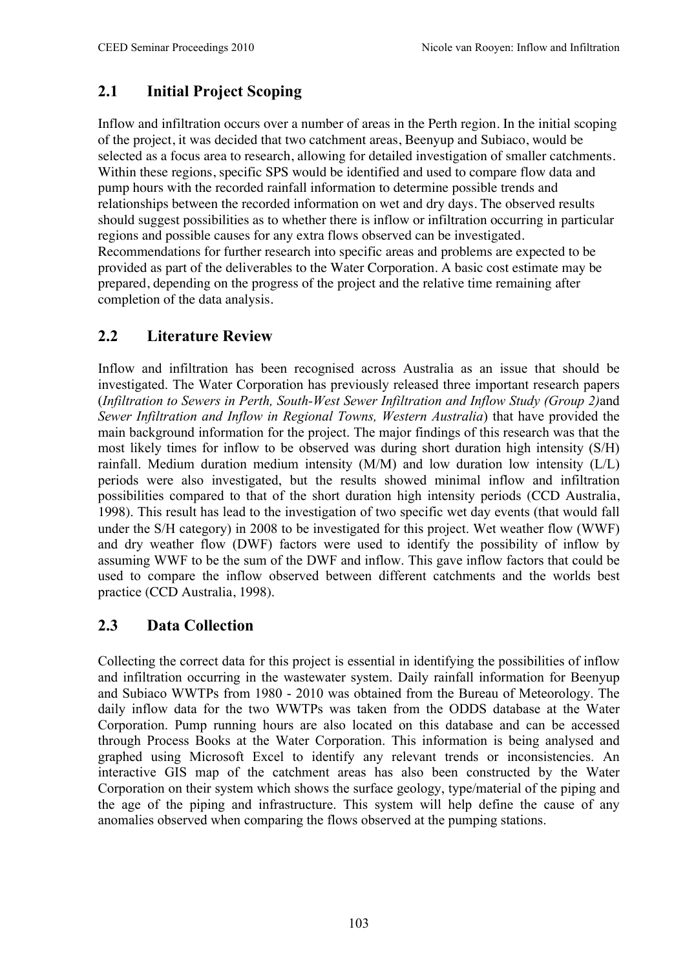## **2.1 Initial Project Scoping**

Inflow and infiltration occurs over a number of areas in the Perth region. In the initial scoping of the project, it was decided that two catchment areas, Beenyup and Subiaco, would be selected as a focus area to research, allowing for detailed investigation of smaller catchments. Within these regions, specific SPS would be identified and used to compare flow data and pump hours with the recorded rainfall information to determine possible trends and relationships between the recorded information on wet and dry days. The observed results should suggest possibilities as to whether there is inflow or infiltration occurring in particular regions and possible causes for any extra flows observed can be investigated. Recommendations for further research into specific areas and problems are expected to be provided as part of the deliverables to the Water Corporation. A basic cost estimate may be prepared, depending on the progress of the project and the relative time remaining after completion of the data analysis.

## **2.2 Literature Review**

Inflow and infiltration has been recognised across Australia as an issue that should be investigated. The Water Corporation has previously released three important research papers (*Infiltration to Sewers in Perth, South-West Sewer Infiltration and Inflow Study (Group 2)*and *Sewer Infiltration and Inflow in Regional Towns, Western Australia*) that have provided the main background information for the project. The major findings of this research was that the most likely times for inflow to be observed was during short duration high intensity (S/H) rainfall. Medium duration medium intensity (M/M) and low duration low intensity (L/L) periods were also investigated, but the results showed minimal inflow and infiltration possibilities compared to that of the short duration high intensity periods (CCD Australia, 1998). This result has lead to the investigation of two specific wet day events (that would fall under the S/H category) in 2008 to be investigated for this project. Wet weather flow (WWF) and dry weather flow (DWF) factors were used to identify the possibility of inflow by assuming WWF to be the sum of the DWF and inflow. This gave inflow factors that could be used to compare the inflow observed between different catchments and the worlds best practice (CCD Australia, 1998).

#### **2.3 Data Collection**

Collecting the correct data for this project is essential in identifying the possibilities of inflow and infiltration occurring in the wastewater system. Daily rainfall information for Beenyup and Subiaco WWTPs from 1980 - 2010 was obtained from the Bureau of Meteorology. The daily inflow data for the two WWTPs was taken from the ODDS database at the Water Corporation. Pump running hours are also located on this database and can be accessed through Process Books at the Water Corporation. This information is being analysed and graphed using Microsoft Excel to identify any relevant trends or inconsistencies. An interactive GIS map of the catchment areas has also been constructed by the Water Corporation on their system which shows the surface geology, type/material of the piping and the age of the piping and infrastructure. This system will help define the cause of any anomalies observed when comparing the flows observed at the pumping stations.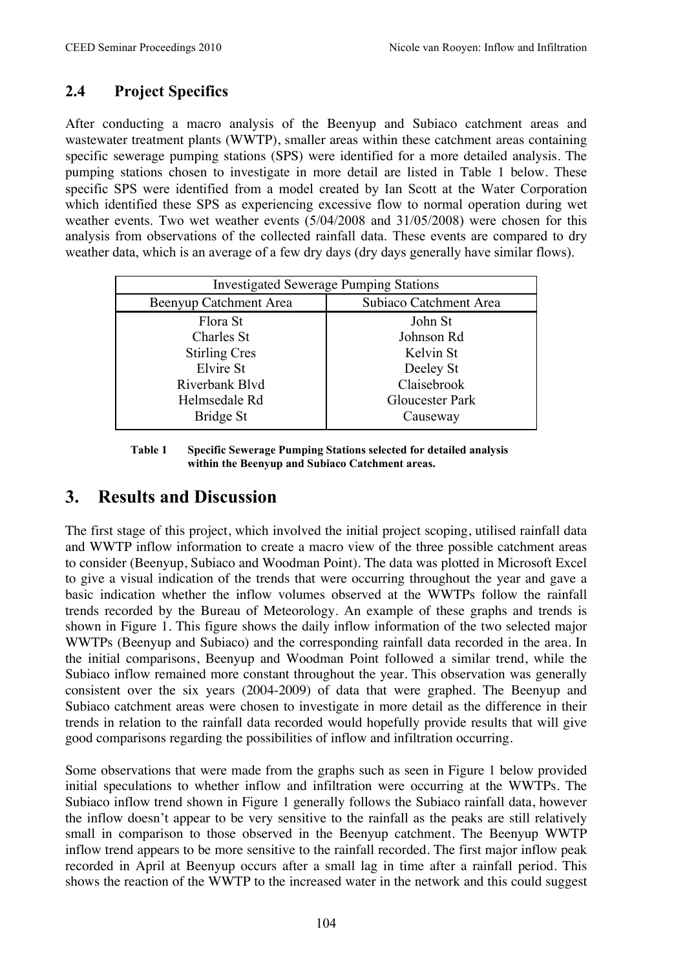## **2.4 Project Specifics**

After conducting a macro analysis of the Beenyup and Subiaco catchment areas and wastewater treatment plants (WWTP), smaller areas within these catchment areas containing specific sewerage pumping stations (SPS) were identified for a more detailed analysis. The pumping stations chosen to investigate in more detail are listed in Table 1 below. These specific SPS were identified from a model created by Ian Scott at the Water Corporation which identified these SPS as experiencing excessive flow to normal operation during wet weather events. Two wet weather events (5/04/2008 and 31/05/2008) were chosen for this analysis from observations of the collected rainfall data. These events are compared to dry weather data, which is an average of a few dry days (dry days generally have similar flows).

| <b>Investigated Sewerage Pumping Stations</b> |                        |
|-----------------------------------------------|------------------------|
| Beenyup Catchment Area                        | Subiaco Catchment Area |
| Flora St                                      | John St                |
| Charles St                                    | Johnson Rd             |
| <b>Stirling Cres</b>                          | Kelvin St              |
| Elvire St                                     | Deeley St              |
| Riverbank Blvd                                | Claisebrook            |
| Helmsedale Rd                                 | Gloucester Park        |
| Bridge St                                     | Causeway               |

**Table 1 Specific Sewerage Pumping Stations selected for detailed analysis within the Beenyup and Subiaco Catchment areas.**

# **3. Results and Discussion**

The first stage of this project, which involved the initial project scoping, utilised rainfall data and WWTP inflow information to create a macro view of the three possible catchment areas to consider (Beenyup, Subiaco and Woodman Point). The data was plotted in Microsoft Excel to give a visual indication of the trends that were occurring throughout the year and gave a basic indication whether the inflow volumes observed at the WWTPs follow the rainfall trends recorded by the Bureau of Meteorology. An example of these graphs and trends is shown in Figure 1. This figure shows the daily inflow information of the two selected major WWTPs (Beenyup and Subiaco) and the corresponding rainfall data recorded in the area. In the initial comparisons, Beenyup and Woodman Point followed a similar trend, while the Subiaco inflow remained more constant throughout the year. This observation was generally consistent over the six years (2004-2009) of data that were graphed. The Beenyup and Subiaco catchment areas were chosen to investigate in more detail as the difference in their trends in relation to the rainfall data recorded would hopefully provide results that will give good comparisons regarding the possibilities of inflow and infiltration occurring.

Some observations that were made from the graphs such as seen in Figure 1 below provided initial speculations to whether inflow and infiltration were occurring at the WWTPs. The Subiaco inflow trend shown in Figure 1 generally follows the Subiaco rainfall data, however the inflow doesn't appear to be very sensitive to the rainfall as the peaks are still relatively small in comparison to those observed in the Beenyup catchment. The Beenyup WWTP inflow trend appears to be more sensitive to the rainfall recorded. The first major inflow peak recorded in April at Beenyup occurs after a small lag in time after a rainfall period. This shows the reaction of the WWTP to the increased water in the network and this could suggest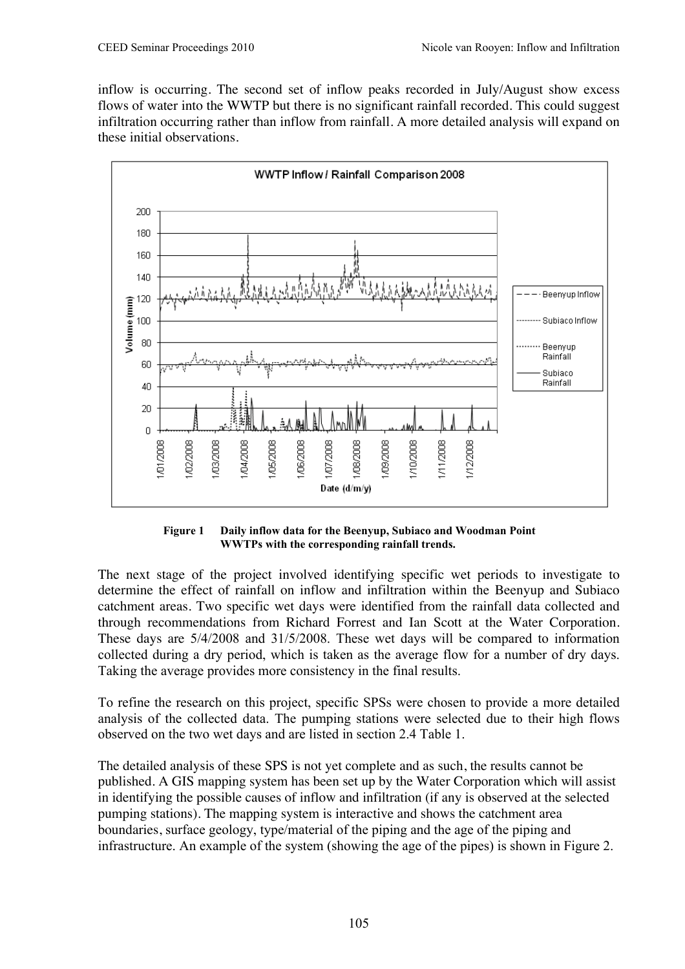inflow is occurring. The second set of inflow peaks recorded in July/August show excess flows of water into the WWTP but there is no significant rainfall recorded. This could suggest infiltration occurring rather than inflow from rainfall. A more detailed analysis will expand on these initial observations.



**Figure 1 Daily inflow data for the Beenyup, Subiaco and Woodman Point WWTPs with the corresponding rainfall trends.**

The next stage of the project involved identifying specific wet periods to investigate to determine the effect of rainfall on inflow and infiltration within the Beenyup and Subiaco catchment areas. Two specific wet days were identified from the rainfall data collected and through recommendations from Richard Forrest and Ian Scott at the Water Corporation. These days are 5/4/2008 and 31/5/2008. These wet days will be compared to information collected during a dry period, which is taken as the average flow for a number of dry days. Taking the average provides more consistency in the final results.

To refine the research on this project, specific SPSs were chosen to provide a more detailed analysis of the collected data. The pumping stations were selected due to their high flows observed on the two wet days and are listed in section 2.4 Table 1.

The detailed analysis of these SPS is not yet complete and as such, the results cannot be published. A GIS mapping system has been set up by the Water Corporation which will assist in identifying the possible causes of inflow and infiltration (if any is observed at the selected pumping stations). The mapping system is interactive and shows the catchment area boundaries, surface geology, type/material of the piping and the age of the piping and infrastructure. An example of the system (showing the age of the pipes) is shown in Figure 2.